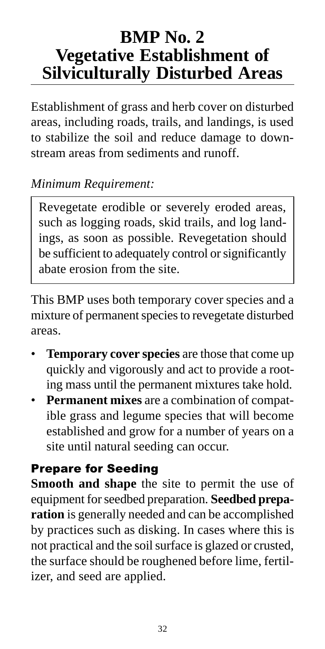# **BMP No. 2 Vegetative Establishment of Silviculturally Disturbed Areas**

Establishment of grass and herb cover on disturbed areas, including roads, trails, and landings, is used to stabilize the soil and reduce damage to downstream areas from sediments and runoff.

### *Minimum Requirement:*

Revegetate erodible or severely eroded areas, such as logging roads, skid trails, and log landings, as soon as possible. Revegetation should be sufficient to adequately control or significantly abate erosion from the site.

This BMP uses both temporary cover species and a mixture of permanent species to revegetate disturbed areas.

- **Temporary cover species** are those that come up quickly and vigorously and act to provide a rooting mass until the permanent mixtures take hold.
- **Permanent mixes** are a combination of compatible grass and legume species that will become established and grow for a number of years on a site until natural seeding can occur.

### Prepare for Seeding

**Smooth and shape** the site to permit the use of equipment for seedbed preparation. **Seedbed preparation** is generally needed and can be accomplished by practices such as disking. In cases where this is not practical and the soil surface is glazed or crusted, the surface should be roughened before lime, fertilizer, and seed are applied.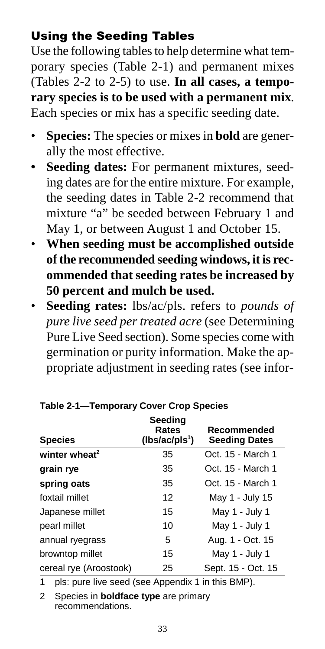### Using the Seeding Tables

Use the following tables to help determine what temporary species (Table 2-1) and permanent mixes (Tables 2-2 to 2-5) to use. **In all cases, a temporary species is to be used with a permanent mix**. Each species or mix has a specific seeding date.

- **Species:** The species or mixes in **bold** are generally the most effective.
- **Seeding dates:** For permanent mixtures, seeding dates are for the entire mixture. For example, the seeding dates in Table 2-2 recommend that mixture "a" be seeded between February 1 and May 1, or between August 1 and October 15.
- **When seeding must be accomplished outside of the recommended seeding windows, it is recommended that seeding rates be increased by 50 percent and mulch be used.**
- **Seeding rates:** lbs/ac/pls. refers to *pounds of pure live seed per treated acre* (see Determining Pure Live Seed section). Some species come with germination or purity information. Make the appropriate adjustment in seeding rates (see infor-

| <b>Species</b>            | Seeding<br>Rates<br>(lbs/ac/pls <sup>1</sup> ) | Recommended<br><b>Seeding Dates</b> |
|---------------------------|------------------------------------------------|-------------------------------------|
| winter wheat <sup>2</sup> | 35                                             | Oct. 15 - March 1                   |
| grain rye                 | 35                                             | Oct. 15 - March 1                   |
| spring oats               | 35                                             | Oct. 15 - March 1                   |
| foxtail millet            | 12                                             | May 1 - July 15                     |
| Japanese millet           | 15                                             | May 1 - July 1                      |
| pearl millet              | 10                                             | May 1 - July 1                      |
| annual ryegrass           | 5                                              | Aug. 1 - Oct. 15                    |
| browntop millet           | 15                                             | May 1 - July 1                      |
| cereal rye (Aroostook)    | 25                                             | Sept. 15 - Oct. 15                  |

### **Table 2-1—Temporary Cover Crop Species**

1 pls: pure live seed (see Appendix 1 in this BMP).

2 Species in **boldface type** are primary recommendations.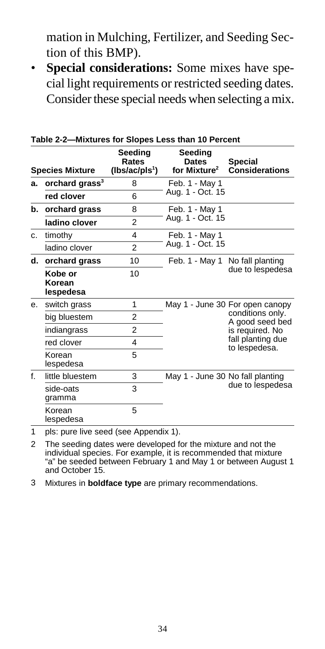mation in Mulching, Fertilizer, and Seeding Section of this BMP).

• **Special considerations:** Some mixes have special light requirements or restricted seeding dates. Consider these special needs when selecting a mix.

|    | Table 2-2—Mixtures for Slopes Less than 10 Percent |                                                |                                                     |                                                        |  |  |
|----|----------------------------------------------------|------------------------------------------------|-----------------------------------------------------|--------------------------------------------------------|--|--|
|    | <b>Species Mixture</b>                             | Seeding<br>Rates<br>(lbs/ac/pls <sup>1</sup> ) | Seeding<br><b>Dates</b><br>for Mixture <sup>2</sup> | Special<br><b>Considerations</b>                       |  |  |
| a. | orchard grass <sup>3</sup>                         | 8                                              | Feb. 1 - May 1                                      |                                                        |  |  |
|    | red clover                                         | 6                                              | Aug. 1 - Oct. 15                                    |                                                        |  |  |
| b. | orchard grass                                      | 8                                              | Feb. 1 - May 1                                      |                                                        |  |  |
|    | ladino clover                                      | $\overline{2}$                                 | Aug. 1 - Oct. 15                                    |                                                        |  |  |
| C. | timothy                                            | 4                                              | Feb. 1 - May 1                                      |                                                        |  |  |
|    | ladino clover                                      | $\overline{2}$                                 | Aug. 1 - Oct. 15                                    |                                                        |  |  |
| d. | orchard grass                                      | 10                                             |                                                     | Feb. 1 - May 1 No fall planting<br>due to lespedesa    |  |  |
|    | Kobe or<br>Korean<br>lespedesa                     | 10                                             |                                                     |                                                        |  |  |
| е. | switch grass                                       | 1                                              |                                                     | May 1 - June 30 For open canopy                        |  |  |
|    | big bluestem                                       | 2                                              |                                                     | conditions only.<br>A good seed bed<br>is required. No |  |  |
|    | indiangrass                                        | $\overline{2}$                                 |                                                     |                                                        |  |  |
|    | red clover                                         | 4                                              |                                                     | fall planting due<br>to lespedesa.                     |  |  |
|    | Korean<br>lespedesa                                | 5                                              |                                                     |                                                        |  |  |
| f  | little bluestem                                    | 3                                              | May 1 - June 30 No fall planting                    |                                                        |  |  |
|    | side-oats<br>gramma                                | 3                                              |                                                     | due to lespedesa                                       |  |  |
|    | Korean<br>lespedesa                                | 5                                              |                                                     |                                                        |  |  |
|    |                                                    |                                                |                                                     |                                                        |  |  |

**Table 2-2—Mixtures for Slopes Less than 10 Percent**

1 pls: pure live seed (see Appendix 1).

2 The seeding dates were developed for the mixture and not the individual species. For example, it is recommended that mixture "a" be seeded between February 1 and May 1 or between August 1 and October 15.

3 Mixtures in **boldface type** are primary recommendations.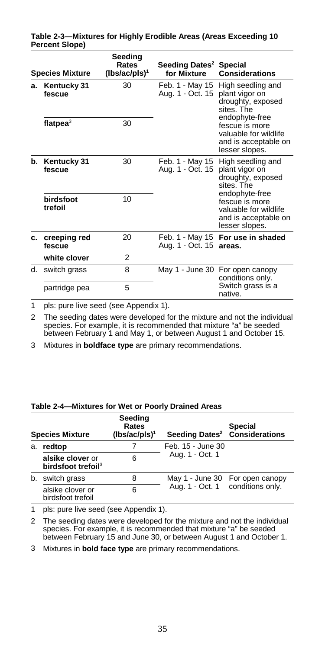|    | <b>Species Mixture</b> | Seeding<br>Rates<br>(lbs/ac/pls) <sup>1</sup> | Seeding Dates <sup>2</sup><br>for Mixture | Special<br><b>Considerations</b>                                                                    |
|----|------------------------|-----------------------------------------------|-------------------------------------------|-----------------------------------------------------------------------------------------------------|
| a. | Kentucky 31<br>fescue  | 30                                            | Feb. 1 - May 15<br>Aug. 1 - Oct. 15       | High seedling and<br>plant vigor on<br>droughty, exposed<br>sites The                               |
|    | flatpea $3$            | 30                                            |                                           | endophyte-free<br>fescue is more<br>valuable for wildlife<br>and is acceptable on<br>lesser slopes. |
| b. | Kentucky 31<br>fescue  | 30                                            | Feb. 1 - May 15<br>Aug. 1 - Oct. 15       | High seedling and<br>plant vigor on<br>droughty, exposed<br>sites The                               |
|    | hirdsfoot<br>trefoil   | 10                                            |                                           | endophyte-free<br>fescue is more<br>valuable for wildlife<br>and is acceptable on<br>lesser slopes. |
| C. | creeping red<br>fescue | 20                                            | Aug. 1 - Oct. 15 areas.                   | Feb. 1 - May 15 For use in shaded                                                                   |
|    | white clover           | $\overline{2}$                                |                                           |                                                                                                     |
| d. | switch grass           | 8                                             | May 1 - June 30                           | For open canopy<br>conditions only.                                                                 |
|    | partridge pea          | 5                                             |                                           | Switch grass is a<br>native.                                                                        |

#### **Table 2-3—Mixtures for Highly Erodible Areas (Areas Exceeding 10 Percent Slope)**

1 pls: pure live seed (see Appendix 1).

2 The seeding dates were developed for the mixture and not the individual species. For example, it is recommended that mixture "a" be seeded between February 1 and May 1, or between August 1 and October 15.

3 Mixtures in **boldface type** are primary recommendations.

#### **Table 2-4—Mixtures for Wet or Poorly Drained Areas**

|    | <b>Species Mixture</b>                             | Seeding<br>Rates<br>$(lbs/ac/pls)^{1}$ | Seeding Dates <sup>2</sup>       | <b>Special</b><br><b>Considerations</b> |
|----|----------------------------------------------------|----------------------------------------|----------------------------------|-----------------------------------------|
| a. | redtop                                             |                                        | Feb. 15 - June 30                |                                         |
|    | alsike clover or<br>birdsfoot trefoil <sup>3</sup> | 6                                      | Aug. 1 - Oct. 1                  |                                         |
| b. | switch grass                                       | 8                                      | Aug. 1 - Oct. 1 conditions only. | May 1 - June 30 For open canopy         |
|    | alsike clover or<br>birdsfoot trefoil              | 6                                      |                                  |                                         |

1 pls: pure live seed (see Appendix 1).

2 The seeding dates were developed for the mixture and not the individual species. For example, it is recommended that mixture "a" be seeded between February 15 and June 30, or between August 1 and October 1.

3 Mixtures in **bold face type** are primary recommendations.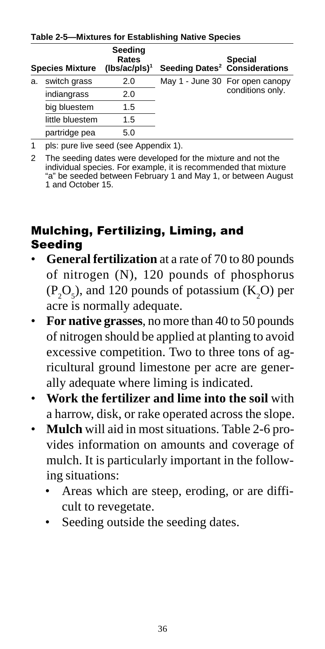|                                                                      | <b>Species Mixture</b> | Seeding<br>Rates<br>$(lbs/ac/pls)^1$ |                  | <b>Special</b><br>Seeding Dates <sup>2</sup> Considerations |  |
|----------------------------------------------------------------------|------------------------|--------------------------------------|------------------|-------------------------------------------------------------|--|
| switch grass<br>a.<br>indiangrass<br>big bluestem<br>little bluestem |                        | 2.0                                  |                  | May 1 - June 30 For open canopy                             |  |
|                                                                      | 2.0                    |                                      | conditions only. |                                                             |  |
|                                                                      | 1.5                    |                                      |                  |                                                             |  |
|                                                                      | 1.5                    |                                      |                  |                                                             |  |
|                                                                      | partridge pea          | 5.0                                  |                  |                                                             |  |

**Table 2-5—Mixtures for Establishing Native Species**

1 pls: pure live seed (see Appendix 1).

2 The seeding dates were developed for the mixture and not the individual species. For example, it is recommended that mixture "a" be seeded between February 1 and May 1, or between August 1 and October 15.

### Mulching, Fertilizing, Liming, and Seeding

- **General fertilization** at a rate of 70 to 80 pounds of nitrogen (N), 120 pounds of phosphorus  $(P_2O_5)$ , and 120 pounds of potassium  $(K_2O)$  per acre is normally adequate.
- **For native grasses**, no more than 40 to 50 pounds of nitrogen should be applied at planting to avoid excessive competition. Two to three tons of agricultural ground limestone per acre are generally adequate where liming is indicated.
- **Work the fertilizer and lime into the soil** with a harrow, disk, or rake operated across the slope.
- **Mulch** will aid in most situations. Table 2-6 provides information on amounts and coverage of mulch. It is particularly important in the following situations:
	- Areas which are steep, eroding, or are difficult to revegetate.
	- Seeding outside the seeding dates.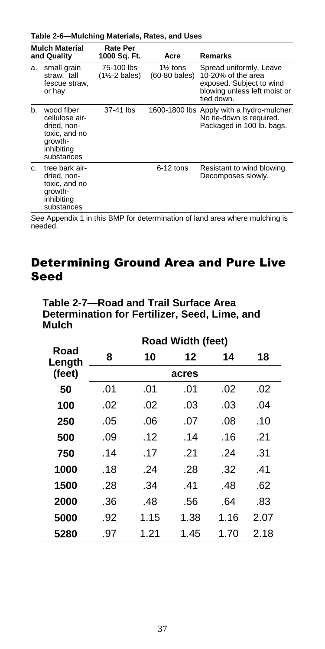**Table 2-6—Mulching Materials, Rates, and Uses**

|    | <b>Mulch Material</b><br>and Quality                                                                | Rate Per<br>1000 Sq. Ft.                 | Acre                        | Remarks                                                                                                                 |
|----|-----------------------------------------------------------------------------------------------------|------------------------------------------|-----------------------------|-------------------------------------------------------------------------------------------------------------------------|
| a. | small grain<br>straw, tall<br>fescue straw.<br>or hay                                               | 75-100 lbs<br>$(1\frac{1}{2} - 2$ bales) | $1\%$ tons<br>(60-80 bales) | Spread uniformly. Leave<br>10-20% of the area<br>exposed. Subject to wind<br>blowing unless left moist or<br>tied down. |
| b. | wood fiber<br>cellulose air-<br>dried, non-<br>toxic, and no<br>growth-<br>inhibiting<br>substances | 37-41 lbs                                |                             | 1600-1800 lbs Apply with a hydro-mulcher.<br>No tie-down is required.<br>Packaged in 100 lb. bags.                      |
| C. | tree bark air-<br>dried, non-<br>toxic, and no<br>growth-<br>inhibiting<br>substances               |                                          | 6-12 tons                   | Resistant to wind blowing.<br>Decomposes slowly.                                                                        |

See Appendix 1 in this BMP for determination of land area where mulching is needed.

### Determining Ground Area and Pure Live Seed

| ,,,,,,,        |     |      |                   |      |      |  |
|----------------|-----|------|-------------------|------|------|--|
|                |     |      | Road Width (feet) |      |      |  |
| Road<br>Length | 8   | 10   | 12                | 14   | 18   |  |
| (feet)         |     |      | acres             |      |      |  |
| 50             | .01 | .01  | .01               | .02  | .02  |  |
| 100            | .02 | .02  | .03               | .03  | .04  |  |
| 250            | .05 | .06  | .07               | .08  | .10  |  |
| 500            | .09 | .12  | .14               | .16  | .21  |  |
| 750            | .14 | .17  | .21               | .24  | .31  |  |
| 1000           | .18 | .24  | .28               | .32  | .41  |  |
| 1500           | .28 | .34  | .41               | .48  | .62  |  |
| 2000           | .36 | .48  | .56               | .64  | .83  |  |
| 5000           | .92 | 1.15 | 1.38              | 1.16 | 2.07 |  |
| 5280           | .97 | 1.21 | 1.45              | 1.70 | 2.18 |  |

**Table 2-7—Road and Trail Surface Area Determination for Fertilizer, Seed, Lime, and Mulch**